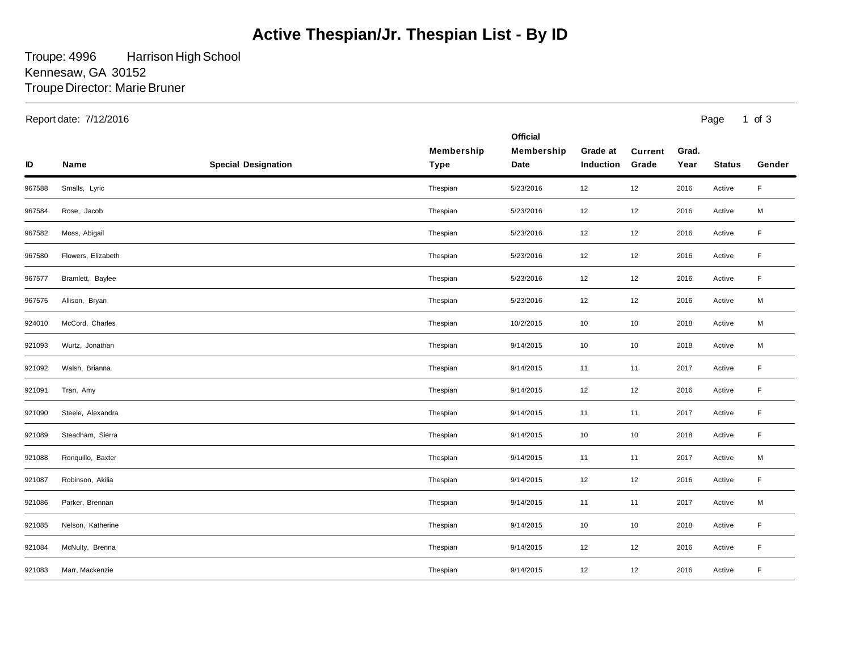## **Active Thespian/Jr. Thespian List - By ID**

Troupe: 4996 Troupe Director: Marie Bruner Harrison High School Kennesaw, GA 30152

|        | Report date: 7/12/2016 |                            |                           |                                       |                       | Page<br>$1$ of $3$      |               |               |             |
|--------|------------------------|----------------------------|---------------------------|---------------------------------------|-----------------------|-------------------------|---------------|---------------|-------------|
| ID     | <b>Name</b>            | <b>Special Designation</b> | Membership<br><b>Type</b> | <b>Official</b><br>Membership<br>Date | Grade at<br>Induction | <b>Current</b><br>Grade | Grad.<br>Year | <b>Status</b> | Gender      |
| 967588 | Smalls, Lyric          |                            | Thespian                  | 5/23/2016                             | 12                    | 12                      | 2016          | Active        | $\mathsf F$ |
| 967584 | Rose, Jacob            |                            | Thespian                  | 5/23/2016                             | 12                    | 12                      | 2016          | Active        | M           |
| 967582 | Moss, Abigail          |                            | Thespian                  | 5/23/2016                             | 12                    | 12                      | 2016          | Active        | F           |
| 967580 | Flowers, Elizabeth     |                            | Thespian                  | 5/23/2016                             | $12\,$                | 12                      | 2016          | Active        | F           |
| 967577 | Bramlett, Baylee       |                            | Thespian                  | 5/23/2016                             | 12                    | 12                      | 2016          | Active        | $\mathsf F$ |
| 967575 | Allison, Bryan         |                            | Thespian                  | 5/23/2016                             | 12                    | 12                      | 2016          | Active        | M           |
| 924010 | McCord, Charles        |                            | Thespian                  | 10/2/2015                             | 10                    | 10                      | 2018          | Active        | M           |
| 921093 | Wurtz, Jonathan        |                            | Thespian                  | 9/14/2015                             | 10                    | 10                      | 2018          | Active        | M           |
| 921092 | Walsh, Brianna         |                            | Thespian                  | 9/14/2015                             | 11                    | 11                      | 2017          | Active        | F           |
| 921091 | Tran, Amy              |                            | Thespian                  | 9/14/2015                             | 12                    | 12                      | 2016          | Active        | F           |
| 921090 | Steele, Alexandra      |                            | Thespian                  | 9/14/2015                             | 11                    | 11                      | 2017          | Active        | F           |
| 921089 | Steadham, Sierra       |                            | Thespian                  | 9/14/2015                             | 10                    | 10                      | 2018          | Active        | $\mathsf F$ |
| 921088 | Ronquillo, Baxter      |                            | Thespian                  | 9/14/2015                             | 11                    | 11                      | 2017          | Active        | M           |
| 921087 | Robinson, Akilia       |                            | Thespian                  | 9/14/2015                             | 12                    | 12                      | 2016          | Active        | F           |
| 921086 | Parker, Brennan        |                            | Thespian                  | 9/14/2015                             | 11                    | 11                      | 2017          | Active        | M           |
| 921085 | Nelson, Katherine      |                            | Thespian                  | 9/14/2015                             | 10                    | 10                      | 2018          | Active        | F           |
| 921084 | McNulty, Brenna        |                            | Thespian                  | 9/14/2015                             | 12                    | 12                      | 2016          | Active        | $\mathsf F$ |
| 921083 | Marr, Mackenzie        |                            | Thespian                  | 9/14/2015                             | 12                    | 12                      | 2016          | Active        | F           |
|        |                        |                            |                           |                                       |                       |                         |               |               |             |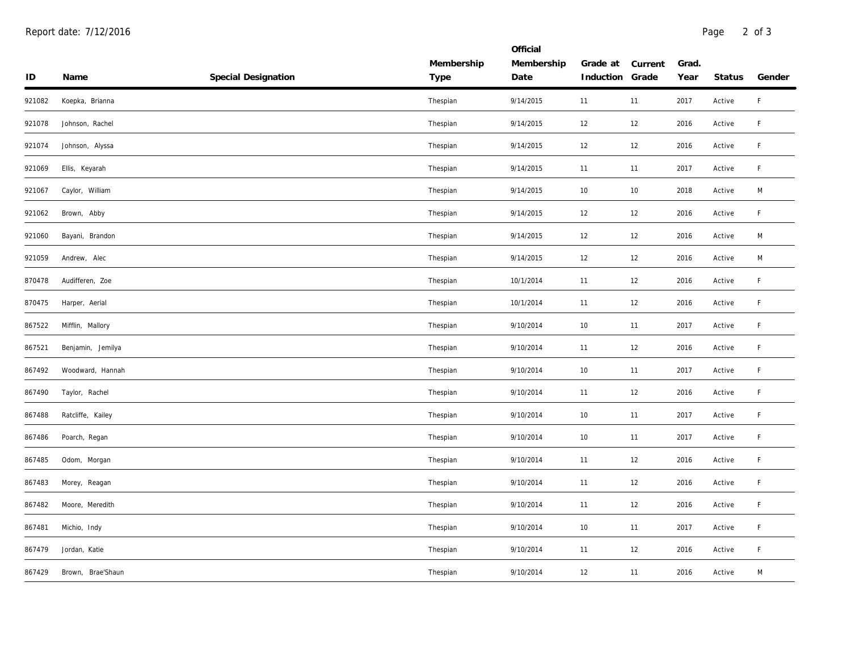|          |                   |                     |            | Official   |           |         |       |        |        |
|----------|-------------------|---------------------|------------|------------|-----------|---------|-------|--------|--------|
|          |                   |                     | Membership | Membership | Grade at  | Current | Grad. |        |        |
| $\sf ID$ | Name              | Special Designation | Type       | Date       | Induction | Grade   | Year  | Status | Gender |
| 921082   | Koepka, Brianna   |                     | Thespian   | 9/14/2015  | 11        | 11      | 2017  | Active | F      |
| 921078   | Johnson, Rachel   |                     | Thespian   | 9/14/2015  | 12        | 12      | 2016  | Active | F      |
| 921074   | Johnson, Alyssa   |                     | Thespian   | 9/14/2015  | 12        | 12      | 2016  | Active | F.     |
| 921069   | Ellis, Keyarah    |                     | Thespian   | 9/14/2015  | 11        | 11      | 2017  | Active | F      |
| 921067   | Caylor, William   |                     | Thespian   | 9/14/2015  | 10        | 10      | 2018  | Active | M      |
| 921062   | Brown, Abby       |                     | Thespian   | 9/14/2015  | 12        | 12      | 2016  | Active | F      |
| 921060   | Bayani, Brandon   |                     | Thespian   | 9/14/2015  | 12        | 12      | 2016  | Active | M      |
| 921059   | Andrew, Alec      |                     | Thespian   | 9/14/2015  | 12        | 12      | 2016  | Active | М      |
| 870478   | Audifferen, Zoe   |                     | Thespian   | 10/1/2014  | 11        | 12      | 2016  | Active | F.     |
| 870475   | Harper, Aerial    |                     | Thespian   | 10/1/2014  | 11        | 12      | 2016  | Active | F.     |
| 867522   | Mifflin, Mallory  |                     | Thespian   | 9/10/2014  | 10        | 11      | 2017  | Active | F.     |
| 867521   | Benjamin, Jemilya |                     | Thespian   | 9/10/2014  | 11        | 12      | 2016  | Active | F      |
| 867492   | Woodward, Hannah  |                     | Thespian   | 9/10/2014  | 10        | 11      | 2017  | Active | F.     |
| 867490   | Taylor, Rachel    |                     | Thespian   | 9/10/2014  | 11        | 12      | 2016  | Active | F      |
| 867488   | Ratcliffe, Kailey |                     | Thespian   | 9/10/2014  | 10        | 11      | 2017  | Active | F.     |
| 867486   | Poarch, Regan     |                     | Thespian   | 9/10/2014  | 10        | 11      | 2017  | Active | F      |
| 867485   | Odom, Morgan      |                     | Thespian   | 9/10/2014  | 11        | 12      | 2016  | Active | F      |
| 867483   | Morey, Reagan     |                     | Thespian   | 9/10/2014  | 11        | 12      | 2016  | Active | F.     |
| 867482   | Moore, Meredith   |                     | Thespian   | 9/10/2014  | 11        | 12      | 2016  | Active | F      |
| 867481   | Michio, Indy      |                     | Thespian   | 9/10/2014  | 10        | 11      | 2017  | Active | F.     |
| 867479   | Jordan, Katie     |                     | Thespian   | 9/10/2014  | 11        | 12      | 2016  | Active | F.     |
| 867429   | Brown, Brae'Shaun |                     | Thespian   | 9/10/2014  | 12        | 11      | 2016  | Active | M      |